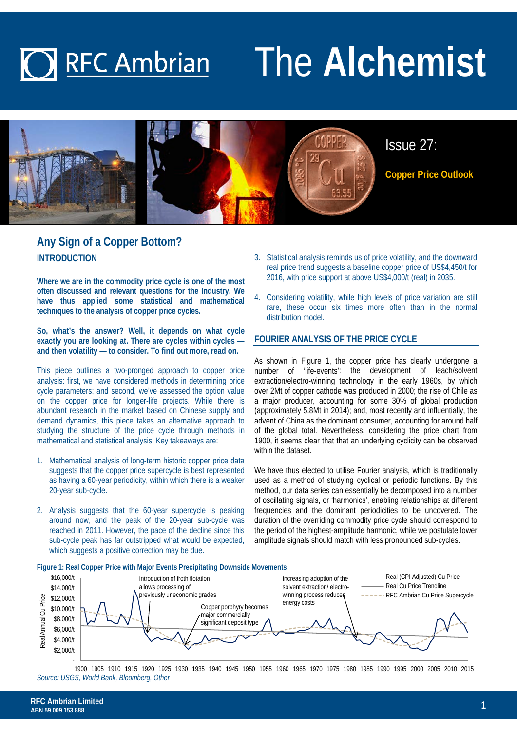### The **Alchemist O** RFC Ambrian



### **Any Sign of a Copper Bottom? INTRODUCTION**

**Where we are in the commodity price cycle is one of the most often discussed and relevant questions for the industry. We have thus applied some statistical and mathematical techniques to the analysis of copper price cycles.** 

**So, what's the answer? Well, it depends on what cycle exactly you are looking at. There are cycles within cycles and then volatility — to consider. To find out more, read on.** 

This piece outlines a two-pronged approach to copper price analysis: first, we have considered methods in determining price cycle parameters; and second, we've assessed the option value on the copper price for longer-life projects. While there is abundant research in the market based on Chinese supply and demand dynamics, this piece takes an alternative approach to studying the structure of the price cycle through methods in mathematical and statistical analysis. Key takeaways are:

- 1. Mathematical analysis of long-term historic copper price data suggests that the copper price supercycle is best represented as having a 60-year periodicity, within which there is a weaker 20-year sub-cycle.
- 2. Analysis suggests that the 60-year supercycle is peaking around now, and the peak of the 20-year sub-cycle was reached in 2011. However, the pace of the decline since this sub-cycle peak has far outstripped what would be expected, which suggests a positive correction may be due.
- 3. Statistical analysis reminds us of price volatility, and the downward real price trend suggests a baseline copper price of US\$4,450/t for 2016, with price support at above US\$4,000/t (real) in 2035.
- 4. Considering volatility, while high levels of price variation are still rare, these occur six times more often than in the normal distribution model.

### **FOURIER ANALYSIS OF THE PRICE CYCLE**

As shown in Figure 1, the copper price has clearly undergone a number of 'life-events': the development of leach/solvent extraction/electro-winning technology in the early 1960s, by which over 2Mt of copper cathode was produced in 2000; the rise of Chile as a major producer, accounting for some 30% of global production (approximately 5.8Mt in 2014); and, most recently and influentially, the advent of China as the dominant consumer, accounting for around half of the global total. Nevertheless, considering the price chart from 1900, it seems clear that that an underlying cyclicity can be observed within the dataset.

We have thus elected to utilise Fourier analysis, which is traditionally used as a method of studying cyclical or periodic functions. By this method, our data series can essentially be decomposed into a number of oscillating signals, or 'harmonics', enabling relationships at different frequencies and the dominant periodicities to be uncovered. The duration of the overriding commodity price cycle should correspond to the period of the highest-amplitude harmonic, while we postulate lower amplitude signals should match with less pronounced sub-cycles.



*Source: USGS, World Bank, Bloomberg, Other* 1900 1905 1910 1915 1920 1925 1930 1935 1940 1945 1950 1955 1960 1965 1970 1975 1980 1985 1990 1995 2000 2005 2010 2015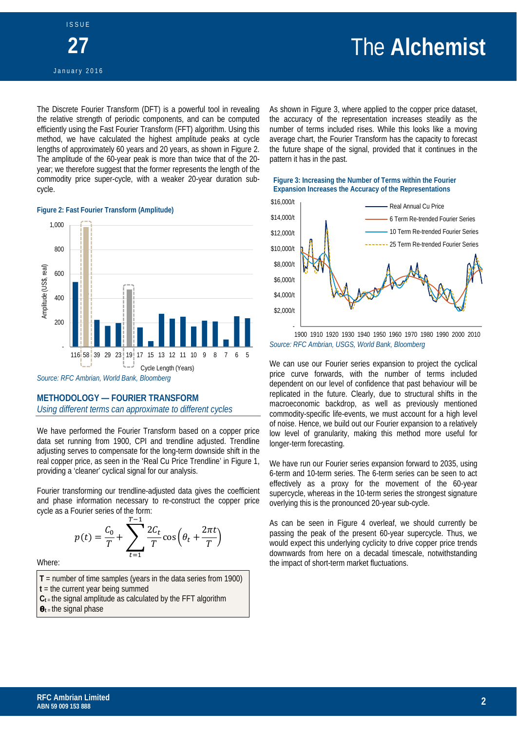# The **Alchemist**

The Discrete Fourier Transform (DFT) is a powerful tool in revealing the relative strength of periodic components, and can be computed efficiently using the Fast Fourier Transform (FFT) algorithm. Using this method, we have calculated the highest amplitude peaks at cycle lengths of approximately 60 years and 20 years, as shown in Figure 2. The amplitude of the 60-year peak is more than twice that of the 20 year; we therefore suggest that the former represents the length of the commodity price super-cycle, with a weaker 20-year duration subcycle.

### **Figure 2: Fast Fourier Transform (Amplitude)**



*Source: RFC Ambrian, World Bank, Bloomberg* 

### **METHODOLOGY — FOURIER TRANSFORM**

*Using different terms can approximate to different cycles* 

We have performed the Fourier Transform based on a copper price data set running from 1900, CPI and trendline adjusted. Trendline adjusting serves to compensate for the long-term downside shift in the real copper price, as seen in the 'Real Cu Price Trendline' in Figure 1, providing a 'cleaner' cyclical signal for our analysis.

Fourier transforming our trendline-adjusted data gives the coefficient and phase information necessary to re-construct the copper price cycle as a Fourier series of the form:

$$
p(t) = \frac{C_0}{T} + \sum_{t=1}^{T-1} \frac{2C_t}{T} \cos\left(\theta_t + \frac{2\pi t}{T}\right)
$$

Where:

- **T** = number of time samples (years in the data series from 1900)
- **t** = the current year being summed
- $C_t$  = the signal amplitude as calculated by the FFT algorithm
- $\theta$ <sub>t</sub> = the signal phase

As shown in Figure 3, where applied to the copper price dataset, the accuracy of the representation increases steadily as the number of terms included rises. While this looks like a moving average chart, the Fourier Transform has the capacity to forecast the future shape of the signal, provided that it continues in the pattern it has in the past.





*Source: RFC Ambrian, USGS, World Bank, Bloomberg* 1900 1910 1920 1930 1940 1950 1960 1970 1980 1990 2000 2010

We can use our Fourier series expansion to project the cyclical price curve forwards, with the number of terms included dependent on our level of confidence that past behaviour will be replicated in the future. Clearly, due to structural shifts in the macroeconomic backdrop, as well as previously mentioned commodity-specific life-events, we must account for a high level of noise. Hence, we build out our Fourier expansion to a relatively low level of granularity, making this method more useful for longer-term forecasting.

We have run our Fourier series expansion forward to 2035, using 6-term and 10-term series. The 6-term series can be seen to act effectively as a proxy for the movement of the 60-year supercycle, whereas in the 10-term series the strongest signature overlying this is the pronounced 20-year sub-cycle.

As can be seen in Figure 4 overleaf, we should currently be passing the peak of the present 60-year supercycle. Thus, we would expect this underlying cyclicity to drive copper price trends downwards from here on a decadal timescale, notwithstanding the impact of short-term market fluctuations.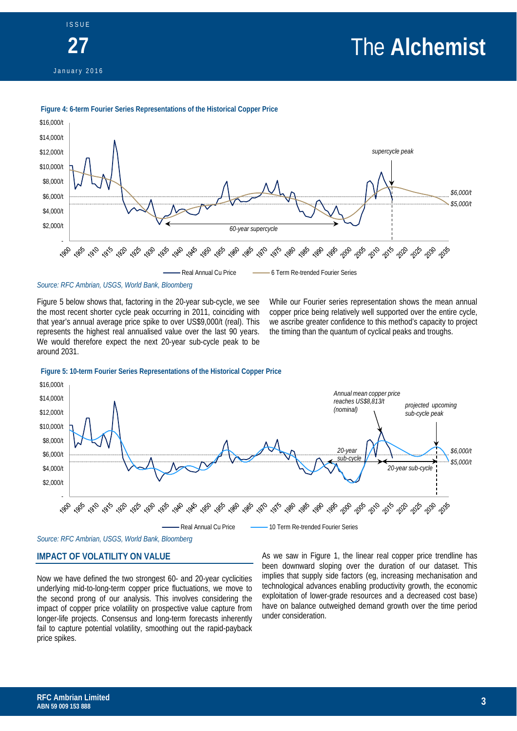# The **Alchemist**





### **Figure 4: 6-term Fourier Series Representations of the Historical Copper Price**

*Source: RFC Ambrian, USGS, World Bank, Bloomberg*

Figure 5 below shows that, factoring in the 20-year sub-cycle, we see the most recent shorter cycle peak occurring in 2011, coinciding with that year's annual average price spike to over US\$9,000/t (real). This represents the highest real annualised value over the last 90 years. We would therefore expect the next 20-year sub-cycle peak to be around 2031.

While our Fourier series representation shows the mean annual copper price being relatively well supported over the entire cycle, we ascribe greater confidence to this method's capacity to project the timing than the quantum of cyclical peaks and troughs.



### **Figure 5: 10-term Fourier Series Representations of the Historical Copper Price**

*Source: RFC Ambrian, USGS, World Bank, Bloomberg*

### **IMPACT OF VOLATILITY ON VALUE**

Now we have defined the two strongest 60- and 20-year cyclicities underlying mid-to-long-term copper price fluctuations, we move to the second prong of our analysis. This involves considering the impact of copper price volatility on prospective value capture from longer-life projects. Consensus and long-term forecasts inherently fail to capture potential volatility, smoothing out the rapid-payback price spikes.

As we saw in Figure 1, the linear real copper price trendline has been downward sloping over the duration of our dataset. This implies that supply side factors (eg, increasing mechanisation and technological advances enabling productivity growth, the economic exploitation of lower-grade resources and a decreased cost base) have on balance outweighed demand growth over the time period under consideration.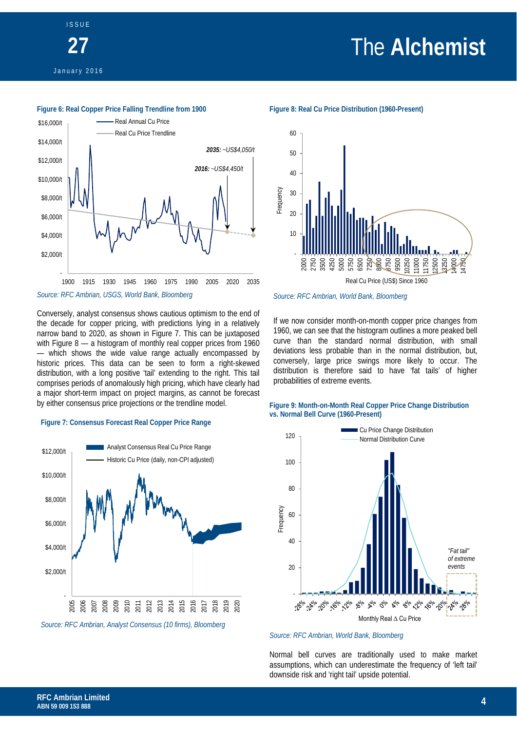# The **Alchemist**



ISSUE

### **Figure 6: Real Copper Price Falling Trendline from 1900** *Source: RFC Ambrian, USGS, World Bank, Bloomberg* - \$2,000/t \$4,000/t \$6,000/t \$8,000/t \$10,000/t \$12,000/t \$14,000/t \$16,000/t 1900 1915 1930 1945 1960 1975 1990 2005 2020 2035 Real Annual Cu Price Real Cu Price Trendline *2016: ~US\$4,450/t 2035: ~US\$4,050/t*

Conversely, analyst consensus shows cautious optimism to the end of the decade for copper pricing, with predictions lying in a relatively narrow band to 2020, as shown in Figure 7. This can be juxtaposed with Figure 8 — a histogram of monthly real copper prices from 1960 — which shows the wide value range actually encompassed by historic prices. This data can be seen to form a right-skewed distribution, with a long positive 'tail' extending to the right. This tail comprises periods of anomalously high pricing, which have clearly had a major short-term impact on project margins, as cannot be forecast by either consensus price projections or the trendline model.

### **Figure 7: Consensus Forecast Real Copper Price Range**



*Source: RFC Ambrian, Analyst Consensus (10 firms), Bloomberg*



*Source: RFC Ambrian, World Bank, Bloomberg*

If we now consider month-on-month copper price changes from 1960, we can see that the histogram outlines a more peaked bell curve than the standard normal distribution, with small deviations less probable than in the normal distribution, but, conversely, large price swings more likely to occur. The distribution is therefore said to have 'fat tails' of higher probabilities of extreme events.

### **Figure 9: Month-on-Month Real Copper Price Change Distribution vs. Normal Bell Curve (1960-Present)**



*Source: RFC Ambrian, World Bank, Bloomberg*

Normal bell curves are traditionally used to make market assumptions, which can underestimate the frequency of 'left tail' downside risk and 'right tail' upside potential.

**Figure 8: Real Cu Price Distribution (1960-Present)**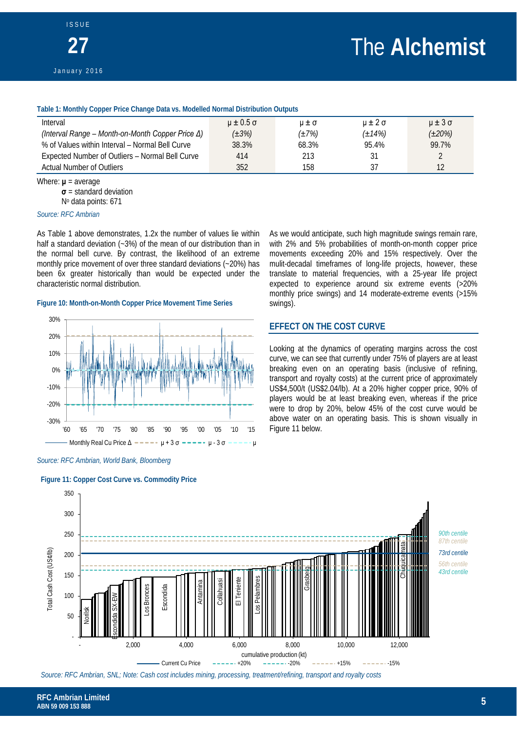### **Table 1: Monthly Copper Price Change Data vs. Modelled Normal Distribution Outputs**

| Interval                                                 | $u \pm 0.5 \sigma$ | $U \pm \sigma$ | $u \pm 2\sigma$ | $\mu \pm 3\sigma$ |
|----------------------------------------------------------|--------------------|----------------|-----------------|-------------------|
| (Interval Range – Month-on-Month Copper Price $\Delta$ ) | $(\pm 3\%)$        | $(\pm 7\%)$    | $(\pm 14\%)$    | $(\pm 20\%)$      |
| % of Values within Interval - Normal Bell Curve          | 38.3%              | 68.3%          | 95.4%           | 99.7%             |
| Expected Number of Outliers - Normal Bell Curve          | 414                | 213            | 31              |                   |
| Actual Number of Outliers                                | 352                | 158            | 37              |                   |

Where: **μ** = average **σ** = standard deviation No data points: 671

#### *Source: RFC Ambrian*

As Table 1 above demonstrates, 1.2x the number of values lie within half a standard deviation (~3%) of the mean of our distribution than in the normal bell curve. By contrast, the likelihood of an extreme monthly price movement of over three standard deviations (~20%) has been 6x greater historically than would be expected under the characteristic normal distribution.

### **Figure 10: Month-on-Month Copper Price Movement Time Series**



*Source: RFC Ambrian, World Bank, Bloomberg*

#### **Figure 11: Copper Cost Curve vs. Commodity Price**

As we would anticipate, such high magnitude swings remain rare, with 2% and 5% probabilities of month-on-month copper price movements exceeding 20% and 15% respectively. Over the mulit-decadal timeframes of long-life projects, however, these translate to material frequencies, with a 25-year life project expected to experience around six extreme events (>20% monthly price swings) and 14 moderate-extreme events (>15% swings).

### **EFFECT ON THE COST CURVE**

Looking at the dynamics of operating margins across the cost curve, we can see that currently under 75% of players are at least breaking even on an operating basis (inclusive of refining, transport and royalty costs) at the current price of approximately US\$4,500/t (US\$2.04/lb). At a 20% higher copper price, 90% of players would be at least breaking even, whereas if the price were to drop by 20%, below 45% of the cost curve would be above water on an operating basis. This is shown visually in Figure 11 below.



*Source: RFC Ambrian, SNL; Note: Cash cost includes mining, processing, treatment/refining, transport and royalty costs*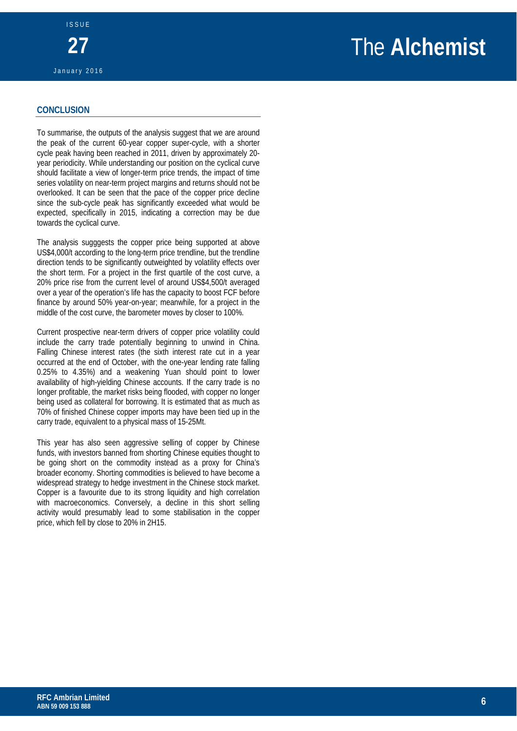### **CONCLUSION**

To summarise, the outputs of the analysis suggest that we are around the peak of the current 60-year copper super-cycle, with a shorter cycle peak having been reached in 2011, driven by approximately 20 year periodicity. While understanding our position on the cyclical curve should facilitate a view of longer-term price trends, the impact of time series volatility on near-term project margins and returns should not be overlooked. It can be seen that the pace of the copper price decline since the sub-cycle peak has significantly exceeded what would be expected, specifically in 2015, indicating a correction may be due towards the cyclical curve.

The analysis sugggests the copper price being supported at above US\$4,000/t according to the long-term price trendline, but the trendline direction tends to be significantly outweighted by volatility effects over the short term. For a project in the first quartile of the cost curve, a 20% price rise from the current level of around US\$4,500/t averaged over a year of the operation's life has the capacity to boost FCF before finance by around 50% year-on-year; meanwhile, for a project in the middle of the cost curve, the barometer moves by closer to 100%.

Current prospective near-term drivers of copper price volatility could include the carry trade potentially beginning to unwind in China. Falling Chinese interest rates (the sixth interest rate cut in a year occurred at the end of October, with the one-year lending rate falling 0.25% to 4.35%) and a weakening Yuan should point to lower availability of high-yielding Chinese accounts. If the carry trade is no longer profitable, the market risks being flooded, with copper no longer being used as collateral for borrowing. It is estimated that as much as 70% of finished Chinese copper imports may have been tied up in the carry trade, equivalent to a physical mass of 15-25Mt.

This year has also seen aggressive selling of copper by Chinese funds, with investors banned from shorting Chinese equities thought to be going short on the commodity instead as a proxy for China's broader economy. Shorting commodities is believed to have become a widespread strategy to hedge investment in the Chinese stock market. Copper is a favourite due to its strong liquidity and high correlation with macroeconomics. Conversely, a decline in this short selling activity would presumably lead to some stabilisation in the copper price, which fell by close to 20% in 2H15.